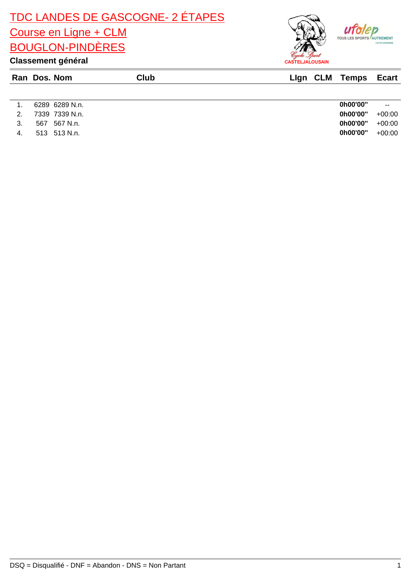

|                | Ran Dos. Nom   | <b>Club</b> |  | Lign CLM Temps Ecart |                          |
|----------------|----------------|-------------|--|----------------------|--------------------------|
|                |                |             |  |                      |                          |
| 1.             | 6289 6289 N.n. |             |  | 0h00'00"             | $\overline{\phantom{a}}$ |
| 2 <sub>1</sub> | 7339 7339 N.n. |             |  | 0h00'00"             | $+00:00$                 |
| 3.             | 567 567 N.n.   |             |  | 0h00'00"             | $+00:00$                 |
| 4.             | 513 513 N.n.   |             |  | 0h00'00"             | $+00:00$                 |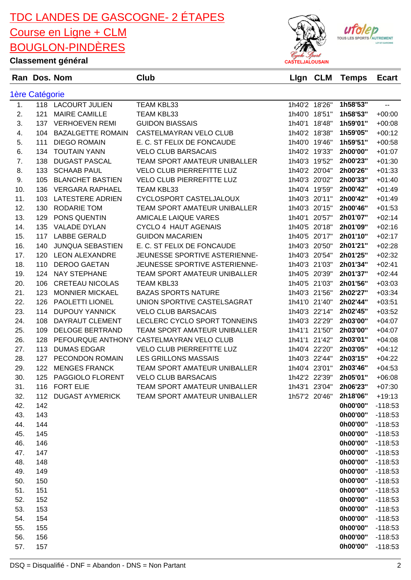

**Classement général**

#### 1ère Catégorie 1. 118 LACOURT JULIEN TEAM KBL33 1692 1140'2 18'26" 1h58'53" 2. 121 MAIRE CAMILLE TEAM KBL33 1h40'0 18'51'' **1h58'53''** +00:00 3. 137 VERHOEVEN REMI GUIDON BIASSAIS 1h40'1 18'48'' **1h59'01''** +00:08 4. 104 BAZALGETTE ROMAIN CASTELMAYRAN VELO CLUB 1h40'2 18'38'' **1h59'05''** +00:12 5. 111 DIEGO ROMAIN E. C. ST FELIX DE FONCAUDE 1h40'0 19'46'' **1h59'51''** +00:58 6. 134 TOUTAIN YANN VELO CLUB BARSACAIS 1h40'2 19'33'' **2h00'00''** +01:07 7. 138 DUGAST PASCAL TEAM SPORT AMATEUR UNIBALLER 1h40'3 19'52'' **2h00'23''** +01:30 8. 133 SCHAAB PAUL VELO CLUB PIERREFITTE LUZ 1h40'2 20'04'' **2h00'26''** +01:33 9. 105 BLANCHET BASTIEN VELO CLUB PIERREFITTE LUZ 1h40'3 20'02'' **2h00'33''** +01:40 10. 136 VERGARA RAPHAEL TEAM KBL33 1h40'4 19'59'' **2h00'42''** +01:49 11. 103 LATESTERE ADRIEN CYCLOSPORT CASTELJALOUX 1h40'3 20'11'' **2h00'42''** +01:49 12. 130 RODARIE TOM TEAM SPORT AMATEUR UNIBALLER 1h40'3 20'15'' **2h00'46''** +01:53 13. 129 PONS QUENTIN AMICALE LAIQUE VARES 1h40'1 20'57'' **2h01'07''** +02:14 14. 135 VALADE DYLAN CYCLO 4 HAUT AGENAIS 1h40'5 20'18'' **2h01'09''** +02:16 15. 117 LABBE GERALD GUIDON MACARIEN 1h40'5 20'17'' **2h01'10''** +02:17 16. 140 JUNQUA SEBASTIEN E. C. ST FELIX DE FONCAUDE 1h40'3 20'50'' **2h01'21''** +02:28 17. 120 LEON ALEXANDRE JEUNESSE SPORTIVE ASTERIENNE- 1h40'3 20'54'' **2h01'25''** +02:32 18. 110 DEROO GAETAN JEUNESSE SPORTIVE ASTERIENNE- 1h40'3 21'03'' **2h01'34''** +02:41 19. 124 NAY STEPHANE TEAM SPORT AMATEUR UNIBALLER 1h40'5 20'39'' **2h01'37''** +02:44 20. 106 CRETEAU NICOLAS TEAM KBL33 1h40'5 21'03'' **2h01'56''** +03:03 21. 123 MONNIER MICKAEL BAZAS SPORTS NATURE 1h40'3 21'56'' **2h02'27''** +03:34 22. 126 PAOLETTI LIONEL UNION SPORTIVE CASTELSAGRAT 1h41'0 21'40'' **2h02'44''** +03:51 23. 114 DUPOUY YANNICK VELO CLUB BARSACAIS 1h40'3 22'14'' **2h02'45''** +03:52 24. 108 DAYRAUT CLEMENT LECLERC CYCLO SPORT TONNEINS 1h40'3 22'29'' **2h03'00''** +04:07 25. 109 DELOGE BERTRAND TEAM SPORT AMATEUR UNIBALLER 1h41'1 21'50'' **2h03'00''** +04:07 26. 128 PEFOURQUE ANTHONY CASTELMAYRAN VELO CLUB 1h41'1 21'42'' **2h03'01''** +04:08 27. 113 DUMAS EDGAR VELO CLUB PIERREFITTE LUZ 1h40'4 22'20'' **2h03'05''** +04:12 28. 127 PECONDON ROMAIN LES GRILLONS MASSAIS 1h40'3 22'44'' **2h03'15''** +04:22 29. 122 MENGES FRANCK TEAM SPORT AMATEUR UNIBALLER 1h40'4 23'01'' **2h03'46''** +04:53 30. 125 PAGGIOLO FLORENT VELO CLUB BARSACAIS 1h42'2 22'39'' **2h05'01''** +06:08 31. 116 FORT ELIE TEAM SPORT AMATEUR UNIBALLER 1h43'1 23'04'' **2h06'23''** +07:30 32. 112 DUGAST AYMERICK TEAM SPORT AMATEUR UNIBALLER 1h57'2 20'46'' **2h18'06''** +19:13 42. 142 **0h00'00''** -118:53 43. 143 **0h00'00''** -118:53 44. 144 **0h00'00''** -118:53 45. 145 **0h00'00''** -118:53 46. 146 **0h00'00''** -118:53 47. 147 **0h00'00''** -118:53 48. 148 **0h00'00''** -118:53 49. 149 **0h00'00''** -118:53 50. 150 **0h00'00''** -118:53 51. 151 **0h00'00''** -118:53 52. 152 **0h00'00''** -118:53 53. 153 **0h00'00''** -118:53 54. 154 **0h00'00''** -118:53 55. 155 **0h00'00''** -118:53 56. 156 **0h00'00''** -118:53 57. 157 **0h00'00''** -118:53 **Ran Dos. Nom Club LIgn CLM Temps Ecart**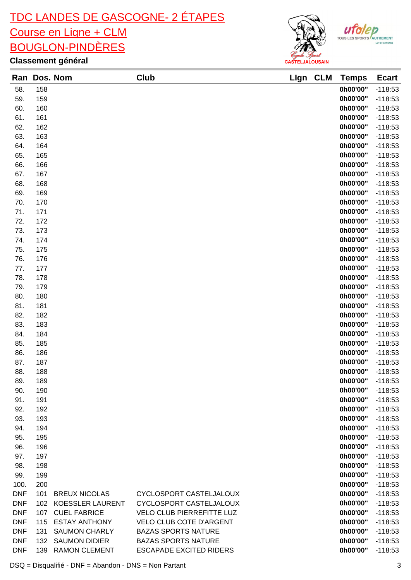



| Ran        |            | Dos. Nom             | Club                             | Lign CLM | <b>Temps</b>         | <b>Ecart</b>           |
|------------|------------|----------------------|----------------------------------|----------|----------------------|------------------------|
| 58.        | 158        |                      |                                  |          | 0h00'00"             | $-118:53$              |
| 59.        | 159        |                      |                                  |          | 0h00'00"             | $-118:53$              |
| 60.        | 160        |                      |                                  |          | 0h00'00"             | $-118:53$              |
| 61.        | 161        |                      |                                  |          | 0h00'00"             | $-118:53$              |
| 62.        | 162        |                      |                                  |          | 0h00'00"             | $-118:53$              |
| 63.        | 163        |                      |                                  |          | 0h00'00"             | $-118:53$              |
| 64.        | 164        |                      |                                  |          | 0h00'00"             | $-118:53$              |
| 65.        | 165        |                      |                                  |          | 0h00'00"             | $-118:53$              |
| 66.        | 166        |                      |                                  |          | 0h00'00"             | $-118:53$              |
| 67.        | 167        |                      |                                  |          | 0h00'00"             | $-118:53$              |
| 68.        | 168        |                      |                                  |          | 0h00'00"             | $-118:53$              |
| 69.        | 169        |                      |                                  |          | 0h00'00"             | $-118:53$              |
| 70.        | 170        |                      |                                  |          | 0h00'00"             | $-118:53$              |
| 71.        | 171        |                      |                                  |          | 0h00'00"             | $-118:53$              |
| 72.        | 172        |                      |                                  |          | 0h00'00"             | $-118:53$              |
| 73.        | 173        |                      |                                  |          | 0h00'00"             | $-118:53$              |
| 74.        | 174        |                      |                                  |          | 0h00'00"             | $-118:53$              |
| 75.        | 175        |                      |                                  |          | 0h00'00"             | $-118:53$              |
| 76.        | 176        |                      |                                  |          | 0h00'00"             | $-118:53$              |
| 77.        | 177        |                      |                                  |          | 0h00'00"             | $-118:53$              |
| 78.        | 178        |                      |                                  |          | 0h00'00"             | $-118:53$              |
| 79.        | 179        |                      |                                  |          | 0h00'00"             | $-118:53$              |
| 80.        | 180        |                      |                                  |          | 0h00'00"             | $-118:53$              |
| 81.        | 181        |                      |                                  |          | 0h00'00"             | $-118:53$              |
| 82.        | 182        |                      |                                  |          | 0h00'00"             | $-118:53$              |
| 83.        | 183        |                      |                                  |          | 0h00'00"             | $-118:53$              |
| 84.        | 184        |                      |                                  |          | 0h00'00"             | $-118:53$              |
| 85.        | 185        |                      |                                  |          | 0h00'00"             | $-118:53$              |
| 86.        | 186        |                      |                                  |          | 0h00'00"             | $-118:53$              |
| 87.        | 187        |                      |                                  |          | 0h00'00"             | $-118:53$              |
| 88.        | 188        |                      |                                  |          | 0h00'00"             | $-118:53$              |
| 89.        | 189        |                      |                                  |          | 0h00'00"             | $-118:53$              |
| 90.<br>91. | 190<br>191 |                      |                                  |          | 0h00'00"<br>0h00'00" | $-118:53$              |
| 92.        | 192        |                      |                                  |          | 0h00'00"             | $-118:53$<br>$-118:53$ |
| 93.        | 193        |                      |                                  |          | 0h00'00"             | $-118:53$              |
| 94.        | 194        |                      |                                  |          | 0h00'00"             | $-118:53$              |
| 95.        | 195        |                      |                                  |          | 0h00'00"             | $-118:53$              |
| 96.        | 196        |                      |                                  |          | 0h00'00"             | $-118:53$              |
| 97.        | 197        |                      |                                  |          | 0h00'00"             | $-118:53$              |
| 98.        | 198        |                      |                                  |          | 0h00'00"             | $-118:53$              |
| 99.        | 199        |                      |                                  |          | 0h00'00"             | $-118:53$              |
| 100.       | 200        |                      |                                  |          | 0h00'00"             | $-118:53$              |
| <b>DNF</b> | 101        | <b>BREUX NICOLAS</b> | CYCLOSPORT CASTELJALOUX          |          | 0h00'00"             | $-118:53$              |
| <b>DNF</b> |            | 102 KOESSLER LAURENT | CYCLOSPORT CASTELJALOUX          |          | 0h00'00"             | $-118:53$              |
| <b>DNF</b> | 107        | <b>CUEL FABRICE</b>  | <b>VELO CLUB PIERREFITTE LUZ</b> |          | 0h00'00"             | $-118:53$              |
| <b>DNF</b> | 115        | <b>ESTAY ANTHONY</b> | <b>VELO CLUB COTE D'ARGENT</b>   |          | 0h00'00"             | $-118:53$              |
| <b>DNF</b> | 131        | <b>SAUMON CHARLY</b> | <b>BAZAS SPORTS NATURE</b>       |          | 0h00'00"             | $-118:53$              |
| <b>DNF</b> | 132        | <b>SAUMON DIDIER</b> | <b>BAZAS SPORTS NATURE</b>       |          | 0h00'00"             | $-118:53$              |
| <b>DNF</b> | 139        | <b>RAMON CLEMENT</b> | <b>ESCAPADE EXCITED RIDERS</b>   |          | 0h00'00"             | $-118:53$              |
|            |            |                      |                                  |          |                      |                        |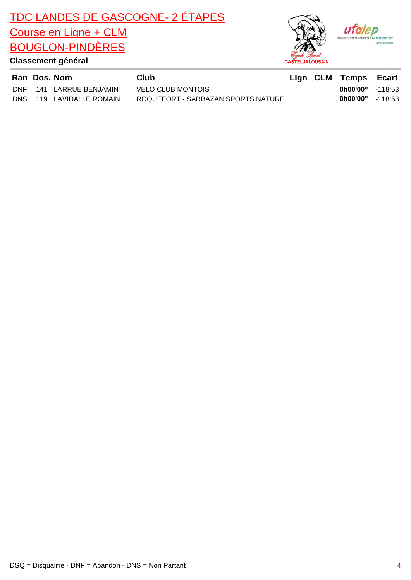

|            | Ran Dos. Nom         | Club                               |  | Lign CLM Temps Ecart |         |
|------------|----------------------|------------------------------------|--|----------------------|---------|
| <b>DNF</b> | 141 LARRUE BENJAMIN  | <b>VELO CLUB MONTOIS</b>           |  | $0h00'00'' - 118:53$ |         |
| <b>DNS</b> | 119 LAVIDALLE ROMAIN | ROQUEFORT - SARBAZAN SPORTS NATURE |  | 0h00'00''            | -118:53 |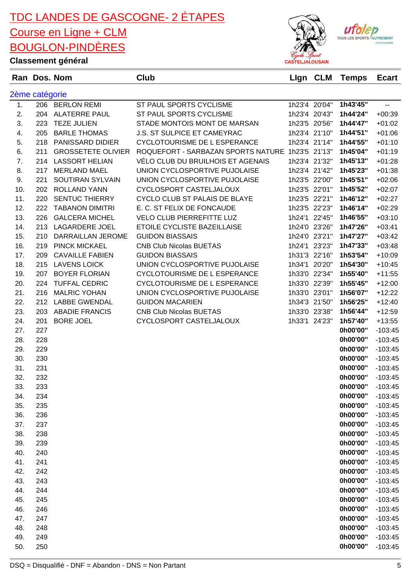

AUTREMENT TOUS LES SPORTS

|            | Ran Dos. Nom   |                           | Club                                             |               | Lign CLM      | <b>Temps</b>         | <b>Ecart</b>             |
|------------|----------------|---------------------------|--------------------------------------------------|---------------|---------------|----------------------|--------------------------|
|            | 2ème catégorie |                           |                                                  |               |               |                      |                          |
| 1.         |                | 206 BERLON REMI           | ST PAUL SPORTS CYCLISME                          |               | 1h23'4 20'04" | 1h43'45"             | $\overline{\phantom{a}}$ |
| 2.         |                | 204 ALATERRE PAUL         | ST PAUL SPORTS CYCLISME                          |               | 1h23'4 20'43" | 1h44'24"             | $+00:39$                 |
| 3.         | 223            | <b>TEZE JULIEN</b>        | STADE MONTOIS MONT DE MARSAN                     |               | 1h23'5 20'56" | 1h44'47"             | $+01:02$                 |
| 4.         | 205            | <b>BARLE THOMAS</b>       | J.S. ST SULPICE ET CAMEYRAC                      |               | 1h23'4 21'10" | 1h44'51"             | $+01:06$                 |
| 5.         | 218            | <b>PANISSARD DIDIER</b>   | <b>CYCLOTOURISME DE L ESPERANCE</b>              |               | 1h23'4 21'14" | 1h44'55"             | $+01:10$                 |
| 6.         | 211            | <b>GROSSETETE OLIVIER</b> | ROQUEFORT - SARBAZAN SPORTS NATURE 1h23'5 21'13" |               |               | 1h45'04"             | $+01:19$                 |
| 7.         | 214            | <b>LASSORT HELIAN</b>     | VÉLO CLUB DU BRUILHOIS ET AGENAIS                |               | 1h23'4 21'32" | 1h45'13"             | $+01:28$                 |
| 8.         | 217            | <b>MERLAND MAEL</b>       | UNION CYCLOSPORTIVE PUJOLAISE                    |               | 1h23'4 21'42" | 1h45'23"             | $+01:38$                 |
| 9.         | 221            | SOUTIRAN SYLVAIN          | UNION CYCLOSPORTIVE PUJOLAISE                    | 1h23'5 22'00" |               | 1h45'51"             | $+02:06$                 |
| 10.        | 202            | ROLLAND YANN              | CYCLOSPORT CASTELJALOUX                          |               | 1h23'5 22'01" | 1h45'52"             | $+02:07$                 |
| 11.        | 220            | <b>SENTUC THIERRY</b>     | CYCLO CLUB ST PALAIS DE BLAYE                    |               | 1h23'5 22'21" | 1h46'12"             | $+02:27$                 |
| 12.        | 222            | <b>TABANON DIMITRI</b>    | E. C. ST FELIX DE FONCAUDE                       |               | 1h23'5 22'23" | 1h46'14"             | $+02:29$                 |
| 13.        | 226            | <b>GALCERA MICHEL</b>     | <b>VELO CLUB PIERREFITTE LUZ</b>                 | 1h24'1 22'45" |               | 1h46'55"             | $+03:10$                 |
| 14.        | 213            | <b>LAGARDERE JOEL</b>     | ETOILE CYCLISTE BAZEILLAISE                      |               | 1h24'0 23'26" | 1h47'26"             | $+03:41$                 |
| 15.        | 210            | DARRAILLAN JEROME         | <b>GUIDON BIASSAIS</b>                           |               | 1h24'0 23'21" | 1h47'27"             | $+03:42$                 |
| 16.        | 219            | <b>PINCK MICKAEL</b>      | <b>CNB Club Nicolas BUETAS</b>                   |               | 1h24'1 23'23" | 1h47'33"             | $+03:48$                 |
| 17.        | 209            | <b>CAVAILLE FABIEN</b>    | <b>GUIDON BIASSAIS</b>                           | 1h31'3 22'16" |               | 1h53'54"             | $+10:09$                 |
| 18.        | 215            | <b>LAVENS LOICK</b>       | UNION CYCLOSPORTIVE PUJOLAISE                    |               | 1h34'1 20'20" | 1h54'30"             | $+10:45$                 |
| 19.        | 207            | <b>BOYER FLORIAN</b>      | <b>CYCLOTOURISME DE L ESPERANCE</b>              |               | 1h33'0 22'34" | 1h55'40"             | $+11:55$                 |
| 20.        | 224            | <b>TUFFAL CEDRIC</b>      | CYCLOTOURISME DE L ESPERANCE                     |               | 1h33'0 22'39" | 1h55'45"             | $+12:00$                 |
| 21.        | 216            | <b>MALRIC YOHAN</b>       | UNION CYCLOSPORTIVE PUJOLAISE                    |               | 1h33'0 23'01" | 1h56'07"             | $+12:22$                 |
| 22.        | 212            | <b>LABBE GWENDAL</b>      | <b>GUIDON MACARIEN</b>                           |               | 1h34'3 21'50" | 1h56'25"             | $+12:40$                 |
| 23.        | 203            | <b>ABADIE FRANCIS</b>     | <b>CNB Club Nicolas BUETAS</b>                   |               | 1h33'0 23'38" | 1h56'44"             | $+12:59$                 |
| 24.        | 201            | <b>BORE JOEL</b>          | CYCLOSPORT CASTELJALOUX                          |               | 1h33'1 24'23" | 1h57'40"             | $+13:55$                 |
| 27.        | 227            |                           |                                                  |               |               | 0h00'00"             | $-103:45$                |
| 28.        | 228            |                           |                                                  |               |               | 0h00'00"             | $-103:45$                |
| 29.        | 229            |                           |                                                  |               |               | 0h00'00"             | $-103:45$                |
| 30.        | 230            |                           |                                                  |               |               | 0h00'00"<br>0h00'00" | $-103:45$                |
| 31.<br>32. | 231<br>232     |                           |                                                  |               |               | 0h00'00"             | $-103:45$<br>$-103:45$   |
|            |                |                           |                                                  |               |               | 0h00'00"             | $-103:45$                |
| 33.<br>34. | 233<br>234     |                           |                                                  |               |               | 0h00'00"             | $-103:45$                |
| 35.        | 235            |                           |                                                  |               |               | 0h00'00"             | $-103:45$                |
| 36.        | 236            |                           |                                                  |               |               | 0h00'00"             | $-103:45$                |
| 37.        | 237            |                           |                                                  |               |               | 0h00'00"             | $-103:45$                |
| 38.        | 238            |                           |                                                  |               |               | 0h00'00"             | $-103:45$                |
| 39.        | 239            |                           |                                                  |               |               | 0h00'00"             | $-103:45$                |
| 40.        | 240            |                           |                                                  |               |               | 0h00'00"             | $-103:45$                |
| 41.        | 241            |                           |                                                  |               |               | 0h00'00"             | $-103:45$                |
| 42.        | 242            |                           |                                                  |               |               | 0h00'00"             | $-103:45$                |
| 43.        | 243            |                           |                                                  |               |               | 0h00'00"             | $-103:45$                |
| 44.        | 244            |                           |                                                  |               |               | 0h00'00"             | $-103:45$                |
| 45.        | 245            |                           |                                                  |               |               | 0h00'00"             | $-103:45$                |
| 46.        | 246            |                           |                                                  |               |               | 0h00'00"             | $-103:45$                |
| 47.        | 247            |                           |                                                  |               |               | 0h00'00"             | $-103:45$                |
| 48.        | 248            |                           |                                                  |               |               | 0h00'00"             | $-103:45$                |
| 49.        | 249            |                           |                                                  |               |               | 0h00'00"             | $-103:45$                |
| 50.        | 250            |                           |                                                  |               |               | 0h00'00"             | $-103:45$                |
|            |                |                           |                                                  |               |               |                      |                          |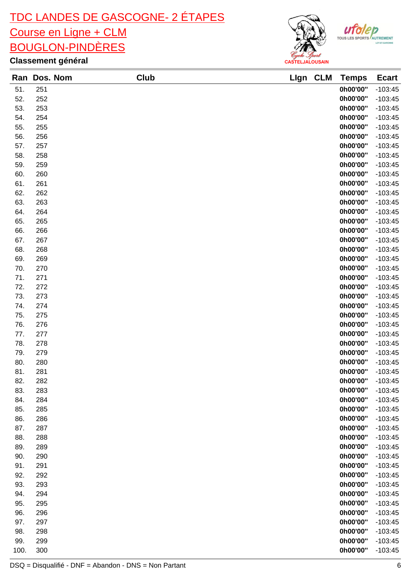



| Ran  |     | Club<br>Dos. Nom | Llgn | <b>CLM</b> | <b>Temps</b> | <b>Ecart</b> |
|------|-----|------------------|------|------------|--------------|--------------|
| 51.  | 251 |                  |      |            | 0h00'00"     | $-103:45$    |
| 52.  | 252 |                  |      |            | 0h00'00"     | $-103:45$    |
| 53.  | 253 |                  |      |            | 0h00'00"     | $-103:45$    |
| 54.  | 254 |                  |      |            | 0h00'00"     | $-103:45$    |
| 55.  | 255 |                  |      |            | 0h00'00"     | $-103:45$    |
| 56.  | 256 |                  |      |            | 0h00'00"     | $-103:45$    |
| 57.  | 257 |                  |      |            | 0h00'00"     | $-103:45$    |
| 58.  | 258 |                  |      |            | 0h00'00"     | $-103:45$    |
| 59.  | 259 |                  |      |            | 0h00'00"     | $-103:45$    |
| 60.  | 260 |                  |      |            | 0h00'00"     | $-103:45$    |
| 61.  | 261 |                  |      |            | 0h00'00"     | $-103:45$    |
| 62.  | 262 |                  |      |            | 0h00'00"     | $-103:45$    |
| 63.  | 263 |                  |      |            | 0h00'00"     | $-103:45$    |
| 64.  | 264 |                  |      |            | 0h00'00"     | $-103:45$    |
| 65.  | 265 |                  |      |            | 0h00'00"     | $-103:45$    |
| 66.  | 266 |                  |      |            | 0h00'00"     | $-103:45$    |
| 67.  | 267 |                  |      |            | 0h00'00"     | $-103:45$    |
| 68.  | 268 |                  |      |            | 0h00'00"     | $-103:45$    |
| 69.  | 269 |                  |      |            | 0h00'00"     | $-103:45$    |
| 70.  | 270 |                  |      |            | 0h00'00"     | $-103:45$    |
| 71.  | 271 |                  |      |            | 0h00'00"     | $-103:45$    |
| 72.  | 272 |                  |      |            | 0h00'00"     | $-103:45$    |
| 73.  | 273 |                  |      |            | 0h00'00"     | $-103:45$    |
| 74.  | 274 |                  |      |            | 0h00'00"     | $-103:45$    |
| 75.  | 275 |                  |      |            | 0h00'00"     | $-103:45$    |
| 76.  | 276 |                  |      |            | 0h00'00"     | $-103:45$    |
| 77.  | 277 |                  |      |            | 0h00'00"     | $-103:45$    |
| 78.  | 278 |                  |      |            | 0h00'00"     | $-103:45$    |
| 79.  | 279 |                  |      |            | 0h00'00"     | $-103:45$    |
| 80.  | 280 |                  |      |            | 0h00'00"     | $-103:45$    |
| 81.  | 281 |                  |      |            | 0h00'00"     | $-103:45$    |
| 82.  | 282 |                  |      |            | 0h00'00"     | $-103:45$    |
| 83.  | 283 |                  |      |            | 0h00'00"     | $-103:45$    |
| 84.  | 284 |                  |      |            | 0h00'00"     | $-103:45$    |
| 85.  | 285 |                  |      |            | 0h00'00"     | $-103:45$    |
| 86.  | 286 |                  |      |            | 0h00'00"     | $-103:45$    |
| 87.  | 287 |                  |      |            | 0h00'00"     | $-103:45$    |
| 88.  | 288 |                  |      |            | 0h00'00"     | $-103:45$    |
| 89.  | 289 |                  |      |            | 0h00'00"     | $-103:45$    |
| 90.  | 290 |                  |      |            | 0h00'00"     | $-103:45$    |
| 91.  | 291 |                  |      |            | 0h00'00"     | $-103:45$    |
| 92.  | 292 |                  |      |            | 0h00'00"     | $-103:45$    |
| 93.  | 293 |                  |      |            | 0h00'00"     | $-103:45$    |
| 94.  | 294 |                  |      |            | 0h00'00"     | $-103:45$    |
| 95.  | 295 |                  |      |            | 0h00'00"     | $-103:45$    |
| 96.  | 296 |                  |      |            | 0h00'00"     | $-103:45$    |
| 97.  | 297 |                  |      |            | 0h00'00"     | $-103:45$    |
| 98.  | 298 |                  |      |            | 0h00'00"     | $-103:45$    |
| 99.  | 299 |                  |      |            | 0h00'00"     | $-103:45$    |
| 100. | 300 |                  |      |            | 0h00'00"     | $-103:45$    |
|      |     |                  |      |            |              |              |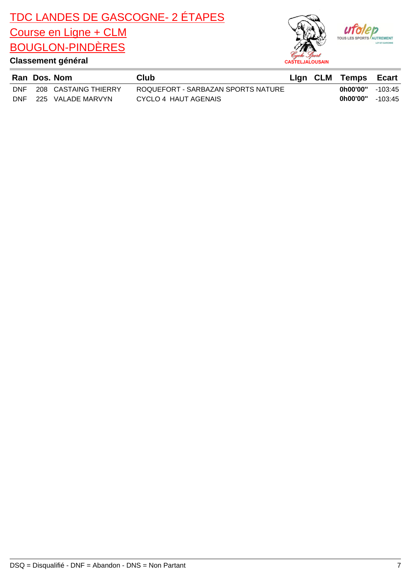

|            | Ran Dos. Nom         | Club                               |  | Lign CLM Temps Ecart |           |
|------------|----------------------|------------------------------------|--|----------------------|-----------|
| <b>DNF</b> | 208 CASTAING THIERRY | ROQUEFORT - SARBAZAN SPORTS NATURE |  | $0h00'00'' - 103:45$ |           |
| DNF        | 225   VALADE MARVYN  | CYCLO 4 HAUT AGENAIS               |  | 0h00'00''            | $-103.45$ |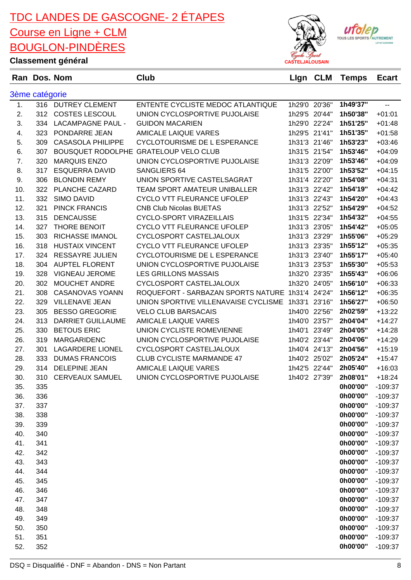



|                | Ran Dos. Nom |                          | Club                                             |               | Lign CLM      | <b>Temps</b> | <b>Ecart</b>             |
|----------------|--------------|--------------------------|--------------------------------------------------|---------------|---------------|--------------|--------------------------|
| 3ème catégorie |              |                          |                                                  |               |               |              |                          |
| 1.             |              | 316 DUTREY CLEMENT       | ENTENTE CYCLISTE MEDOC ATLANTIQUE                |               | 1h29'0 20'36" | 1h49'37"     | $\overline{\phantom{a}}$ |
| 2.             | 312          | <b>COSTES LESCOUL</b>    | UNION CYCLOSPORTIVE PUJOLAISE                    |               | 1h29'5 20'44" | 1h50'38"     | $+01:01$                 |
| 3.             |              | 334 LACAMPAGNE PAUL -    | <b>GUIDON MACARIEN</b>                           |               | 1h29'0 22'24" | 1h51'25"     | $+01:48$                 |
| 4.             | 323          | PONDARRE JEAN            | <b>AMICALE LAIQUE VARES</b>                      |               | 1h29'5 21'41" | 1h51'35"     | $+01:58$                 |
| 5.             | 309          | <b>CASASOLA PHILIPPE</b> | CYCLOTOURISME DE L ESPERANCE                     |               | 1h31'3 21'46" | 1h53'23"     | $+03:46$                 |
| 6.             | 307          |                          | BOUSQUET RODOLPHE GRATELOUP VELO CLUB            |               | 1h31'5 21'54" | 1h53'46"     | $+04:09$                 |
| 7.             | 320          | <b>MARQUIS ENZO</b>      | UNION CYCLOSPORTIVE PUJOLAISE                    |               | 1h31'3 22'09" | 1h53'46"     | $+04:09$                 |
| 8.             | 317          | <b>ESQUERRA DAVID</b>    | SANGLIERS 64                                     | 1h31'5 22'00" |               | 1h53'52"     | $+04:15$                 |
| 9.             | 306          | <b>BLONDIN REMY</b>      | UNION SPORTIVE CASTELSAGRAT                      |               | 1h31'4 22'20" | 1h54'08"     | $+04:31$                 |
| 10.            | 322          | PLANCHE CAZARD           | TEAM SPORT AMATEUR UNIBALLER                     |               | 1h31'3 22'42" | 1h54'19"     | $+04:42$                 |
| 11.            | 332          | <b>SIMO DAVID</b>        | CYCLO VTT FLEURANCE UFOLEP                       | 1h31'3 22'43" |               | 1h54'20"     | $+04:43$                 |
| 12.            | 321          | <b>PINCK FRANCIS</b>     | <b>CNB Club Nicolas BUETAS</b>                   |               | 1h31'3 22'52" | 1h54'29"     | $+04:52$                 |
| 13.            | 315          | <b>DENCAUSSE</b>         | <b>CYCLO-SPORT VIRAZEILLAIS</b>                  |               | 1h31'5 22'34" | 1h54'32"     | $+04:55$                 |
| 14.            | 327          | <b>THORE BENOIT</b>      | <b>CYCLO VTT FLEURANCE UFOLEP</b>                |               | 1h31'3 23'05" | 1h54'42"     | $+05:05$                 |
| 15.            | 303          | <b>RICHASSE IMANOL</b>   | CYCLOSPORT CASTELJALOUX                          | 1h31'3 23'29" |               | 1h55'06"     | $+05:29$                 |
| 16.            | 318          | <b>HUSTAIX VINCENT</b>   | <b>CYCLO VTT FLEURANCE UFOLEP</b>                | 1h31'3 23'35" |               | 1h55'12"     | $+05:35$                 |
| 17.            | 324          | <b>RESSAYRE JULIEN</b>   | <b>CYCLOTOURISME DE L ESPERANCE</b>              |               | 1h31'3 23'40" | 1h55'17"     | $+05:40$                 |
| 18.            | 304          | <b>AUPTEL FLORENT</b>    | UNION CYCLOSPORTIVE PUJOLAISE                    |               | 1h31'3 23'53" | 1h55'30"     | $+05:53$                 |
| 19.            | 328          | VIGNEAU JEROME           | <b>LES GRILLONS MASSAIS</b>                      | 1h32'0 23'35" |               | 1h55'43"     | $+06:06$                 |
| 20.            | 302          | MOUCHET ANDRE            | CYCLOSPORT CASTELJALOUX                          | 1h32'0 24'05" |               | 1h56'10"     | $+06:33$                 |
| 21.            | 308          | <b>CASANOVAS YOANN</b>   | ROQUEFORT - SARBAZAN SPORTS NATURE 1h31'4 24'24" |               |               | 1h56'12"     | $+06:35$                 |
| 22.            | 329          | <b>VILLENAVE JEAN</b>    | UNION SPORTIVE VILLENAVAISE CYCLISME             | 1h33'1 23'16" |               | 1h56'27"     | $+06:50$                 |
| 23.            | 305          | <b>BESSO GREGORIE</b>    | <b>VELO CLUB BARSACAIS</b>                       | 1h40'0 22'56" |               | 2h02'59"     | $+13:22$                 |
| 24.            | 313          | <b>DARRIET GUILLAUME</b> | <b>AMICALE LAIQUE VARES</b>                      | 1h40'0 23'57" |               | 2h04'04"     | $+14:27$                 |
| 25.            | 330          | <b>BETOUS ERIC</b>       | UNION CYCLISTE ROMEVIENNE                        |               | 1h40'1 23'49" | 2h04'05"     | $+14:28$                 |
| 26.            | 319          | <b>MARGARIDENC</b>       | UNION CYCLOSPORTIVE PUJOLAISE                    | 1h40'2 23'44" |               | 2h04'06"     | $+14:29$                 |
| 27.            | 301          | <b>LAGARDERE LIONEL</b>  | CYCLOSPORT CASTELJALOUX                          |               | 1h40'4 24'13" | 2h04'56"     | $+15:19$                 |
| 28.            | 333          | <b>DUMAS FRANCOIS</b>    | <b>CLUB CYCLISTE MARMANDE 47</b>                 |               | 1h40'2 25'02" | 2h05'24"     | $+15:47$                 |
| 29.            | 314          | <b>DELEPINE JEAN</b>     | <b>AMICALE LAIQUE VARES</b>                      |               | 1h42'5 22'44" | 2h05'40"     | $+16:03$                 |
| 30.            | 310          | <b>CERVEAUX SAMUEL</b>   | UNION CYCLOSPORTIVE PUJOLAISE                    | 1h40'2 27'39" |               | 2h08'01"     | $+18:24$                 |
| 35.            | 335          |                          |                                                  |               |               | 0h00'00"     | $-109:37$                |
| 36.            | 336          |                          |                                                  |               |               | 0h00'00"     | $-109:37$                |
| 37.            | 337          |                          |                                                  |               |               | 0h00'00"     | $-109:37$                |
| 38.            | 338          |                          |                                                  |               |               | 0h00'00"     | $-109:37$                |
| 39.            | 339          |                          |                                                  |               |               | 0h00'00"     | $-109:37$                |
| 40.            | 340          |                          |                                                  |               |               | 0h00'00"     | $-109:37$                |
| 41.            | 341          |                          |                                                  |               |               | 0h00'00"     | $-109:37$                |
| 42.            | 342          |                          |                                                  |               |               | 0h00'00"     | $-109:37$                |
| 43.            | 343          |                          |                                                  |               |               | 0h00'00"     | $-109:37$                |
| 44.            | 344          |                          |                                                  |               |               | 0h00'00"     | $-109:37$                |
| 45.            | 345          |                          |                                                  |               |               | 0h00'00"     | $-109:37$                |
| 46.            | 346          |                          |                                                  |               |               | 0h00'00"     | $-109:37$                |
| 47.            | 347          |                          |                                                  |               |               | 0h00'00"     | $-109:37$                |
| 48.            | 348          |                          |                                                  |               |               | 0h00'00"     | $-109:37$                |
| 49.            | 349          |                          |                                                  |               |               | 0h00'00"     | $-109:37$                |
| 50.            | 350          |                          |                                                  |               |               | 0h00'00"     | $-109:37$                |
| 51.            | 351          |                          |                                                  |               |               | 0h00'00"     | $-109:37$                |
| 52.            | 352          |                          |                                                  |               |               | 0h00'00"     | $-109:37$                |
|                |              |                          |                                                  |               |               |              |                          |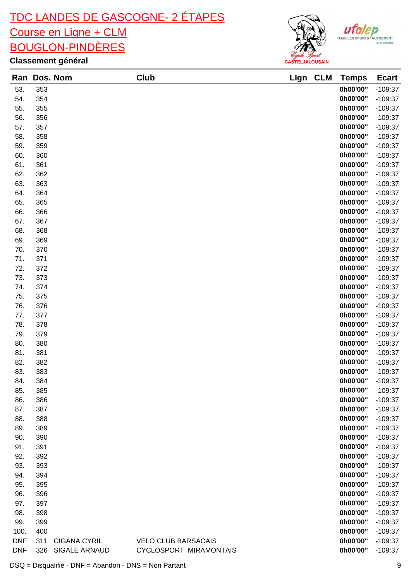



|            |            | Ran Dos. Nom         | Club                       | Lign CLM | <b>Temps</b>         | <b>Ecart</b>           |
|------------|------------|----------------------|----------------------------|----------|----------------------|------------------------|
| 53.        | 353        |                      |                            |          | 0h00'00"             | $-109:37$              |
| 54.        | 354        |                      |                            |          | 0h00'00"             | $-109:37$              |
| 55.        | 355        |                      |                            |          | 0h00'00"             | $-109:37$              |
| 56.        | 356        |                      |                            |          | 0h00'00"             | $-109:37$              |
| 57.        | 357        |                      |                            |          | 0h00'00"             | $-109:37$              |
| 58.        | 358        |                      |                            |          | 0h00'00"             | $-109:37$              |
| 59.        | 359        |                      |                            |          | 0h00'00"             | $-109:37$              |
| 60.        | 360        |                      |                            |          | 0h00'00"             | $-109:37$              |
| 61.        | 361        |                      |                            |          | 0h00'00"             | $-109:37$              |
| 62.        | 362        |                      |                            |          | 0h00'00"             | $-109:37$              |
| 63.        | 363        |                      |                            |          | 0h00'00"             | $-109:37$              |
| 64.        | 364        |                      |                            |          | 0h00'00"             | $-109:37$              |
| 65.        | 365        |                      |                            |          | 0h00'00"             | $-109:37$              |
| 66.        | 366        |                      |                            |          | 0h00'00"             | $-109:37$              |
| 67.        | 367        |                      |                            |          | 0h00'00"             | $-109:37$              |
| 68.        | 368        |                      |                            |          | 0h00'00"             | $-109:37$              |
| 69.        | 369        |                      |                            |          | 0h00'00"             | $-109:37$              |
| 70.        | 370        |                      |                            |          | 0h00'00"             | $-109:37$              |
| 71.        | 371        |                      |                            |          | 0h00'00"             | $-109:37$              |
| 72.<br>73. | 372<br>373 |                      |                            |          | 0h00'00"<br>0h00'00" | $-109:37$              |
| 74.        | 374        |                      |                            |          | 0h00'00"             | $-109:37$<br>$-109:37$ |
| 75.        | 375        |                      |                            |          | 0h00'00"             | $-109:37$              |
| 76.        | 376        |                      |                            |          | 0h00'00"             | $-109:37$              |
| 77.        | 377        |                      |                            |          | 0h00'00"             | $-109:37$              |
| 78.        | 378        |                      |                            |          | 0h00'00"             | $-109:37$              |
| 79.        | 379        |                      |                            |          | 0h00'00"             | $-109:37$              |
| 80.        | 380        |                      |                            |          | 0h00'00"             | $-109:37$              |
| 81.        | 381        |                      |                            |          | 0h00'00"             | $-109:37$              |
| 82.        | 382        |                      |                            |          | 0h00'00"             | $-109:37$              |
| 83.        | 383        |                      |                            |          | 0h00'00"             | $-109:37$              |
| 84.        | 384        |                      |                            |          | 0h00'00"             | $-109:37$              |
| 85.        | 385        |                      |                            |          | 0h00'00"             | $-109:37$              |
| 86.        | 386        |                      |                            |          | 0h00'00"             | $-109:37$              |
| 87.        | 387        |                      |                            |          | 0h00'00"             | $-109:37$              |
| 88.        | 388        |                      |                            |          | 0h00'00"             | $-109:37$              |
| 89.        | 389        |                      |                            |          | 0h00'00"             | $-109:37$              |
| 90.        | 390        |                      |                            |          | 0h00'00"             | $-109:37$              |
| 91.        | 391        |                      |                            |          | 0h00'00"             | $-109:37$              |
| 92.        | 392        |                      |                            |          | 0h00'00"             | $-109:37$              |
| 93.        | 393        |                      |                            |          | 0h00'00"             | $-109:37$              |
| 94.        | 394        |                      |                            |          | 0h00'00"             | $-109:37$              |
| 95.        | 395        |                      |                            |          | 0h00'00"             | $-109:37$              |
| 96.        | 396        |                      |                            |          | 0h00'00"             | $-109:37$              |
| 97.        | 397        |                      |                            |          | 0h00'00"             | $-109:37$              |
| 98.<br>99. | 398        |                      |                            |          | 0h00'00"<br>0h00'00" | $-109:37$              |
| 100.       | 399<br>400 |                      |                            |          | 0h00'00"             | $-109:37$              |
| <b>DNF</b> | 311        | <b>CIGANA CYRIL</b>  | <b>VELO CLUB BARSACAIS</b> |          | 0h00'00"             | $-109:37$<br>$-109:37$ |
| <b>DNF</b> | 326        | <b>SIGALE ARNAUD</b> | CYCLOSPORT MIRAMONTAIS     |          | 0h00'00"             | $-109:37$              |
|            |            |                      |                            |          |                      |                        |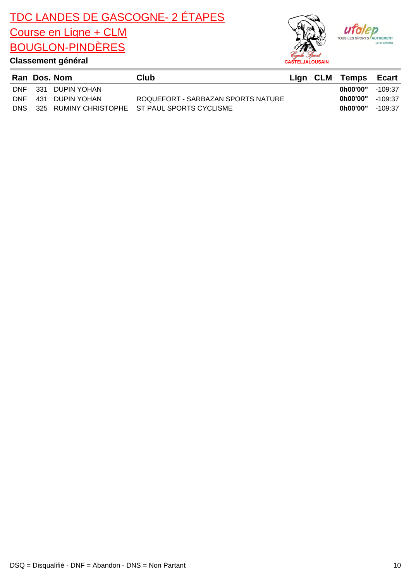

|            | Ran Dos. Nom        | Club                                          |  | Lign CLM Temps Ecart |           |
|------------|---------------------|-----------------------------------------------|--|----------------------|-----------|
|            | DNF 331 DUPIN YOHAN |                                               |  | 0h00'00"             | -109:37   |
| DNF        | 431 DUPIN YOHAN     | ROQUEFORT - SARBAZAN SPORTS NATURE            |  | 0h00'00''            | $-109.37$ |
| <b>DNS</b> |                     | 325 RUMINY CHRISTOPHE ST PAUL SPORTS CYCLISME |  | 0h00'00"             | $-109.37$ |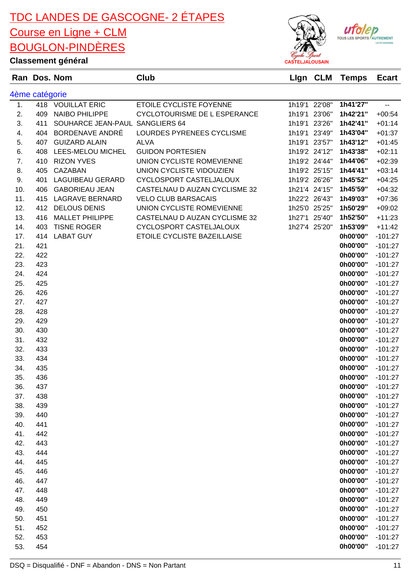

AUTREMENT TOUS LES SPORTS

|     | Ran Dos. Nom   |                                 | Club                                | Lign CLM      | <b>Temps</b>         | <b>Ecart</b> |
|-----|----------------|---------------------------------|-------------------------------------|---------------|----------------------|--------------|
|     | 4ème catégorie |                                 |                                     |               |                      |              |
| 1.  |                | 418 VOUILLAT ERIC               | ETOILE CYCLISTE FOYENNE             | 1h19'1 22'08" | 1h41'27"             | --           |
| 2.  | 409            | <b>NAIBO PHILIPPE</b>           | <b>CYCLOTOURISME DE L ESPERANCE</b> | 1h19'1 23'06" | 1h42'21"             | $+00:54$     |
| 3.  | 411            | SOUHARCE JEAN-PAUL SANGLIERS 64 |                                     | 1h19'1 23'26" | 1h42'41"             | $+01:14$     |
| 4.  | 404            | BORDENAVE ANDRÉ                 | LOURDES PYRENEES CYCLISME           | 1h19'1 23'49" | 1h43'04"             | $+01:37$     |
| 5.  | 407            | <b>GUIZARD ALAIN</b>            | <b>ALVA</b>                         | 1h19'1 23'57" | 1h43'12"             | $+01:45$     |
| 6.  | 408            | LEES-MELOU MICHEL               | <b>GUIDON PORTESIEN</b>             | 1h19'2 24'12" | 1h43'38"             | $+02:11$     |
| 7.  | 410            | <b>RIZON YVES</b>               | UNION CYCLISTE ROMEVIENNE           | 1h19'2 24'44" | 1h44'06"             | $+02:39$     |
| 8.  | 405            | <b>CAZABAN</b>                  | UNION CYCLISTE VIDOUZIEN            | 1h19'2 25'15" | 1h44'41"             | $+03:14$     |
| 9.  | 401            | <b>LAGUIBEAU GERARD</b>         | CYCLOSPORT CASTELJALOUX             | 1h19'2 26'26" | 1h45'52"             | $+04:25$     |
| 10. | 406            | <b>GABORIEAU JEAN</b>           | CASTELNAU D AUZAN CYCLISME 32       | 1h21'4 24'15" | 1h45'59"             | $+04:32$     |
| 11. | 415            | <b>LAGRAVE BERNARD</b>          | <b>VELO CLUB BARSACAIS</b>          | 1h22'2 26'43" | 1h49'03"             | $+07:36$     |
| 12. | 412            | <b>DELOUS DENIS</b>             | UNION CYCLISTE ROMEVIENNE           | 1h25'0 25'25" | 1h50'29"             | $+09:02$     |
| 13. | 416            | <b>MALLET PHILIPPE</b>          | CASTELNAU D AUZAN CYCLISME 32       | 1h27'1 25'40" | 1h52'50"             | $+11:23$     |
| 14. | 403            | <b>TISNE ROGER</b>              | CYCLOSPORT CASTELJALOUX             | 1h27'4 25'20" | 1h53'09"             | $+11:42$     |
| 17. | 414            | <b>LABAT GUY</b>                | ETOILE CYCLISTE BAZEILLAISE         |               | 0h00'00"             | $-101:27$    |
| 21. | 421            |                                 |                                     |               | 0h00'00"             | $-101:27$    |
| 22. | 422            |                                 |                                     |               | 0h00'00"             | $-101:27$    |
| 23. | 423            |                                 |                                     |               | 0h00'00"             | $-101:27$    |
| 24. | 424            |                                 |                                     |               | 0h00'00"             | $-101:27$    |
| 25. | 425            |                                 |                                     |               | 0h00'00"             | $-101:27$    |
| 26. | 426            |                                 |                                     |               | 0h00'00"             | $-101:27$    |
| 27. | 427            |                                 |                                     |               | 0h00'00"             | $-101:27$    |
| 28. | 428            |                                 |                                     |               | 0h00'00"             | $-101:27$    |
| 29. | 429            |                                 |                                     |               | 0h00'00"             | $-101:27$    |
| 30. | 430            |                                 |                                     |               | 0h00'00"             | $-101:27$    |
| 31. | 432            |                                 |                                     |               | 0h00'00"             | $-101:27$    |
| 32. | 433            |                                 |                                     |               | 0h00'00"             | $-101:27$    |
| 33. | 434            |                                 |                                     |               | 0h00'00"             | $-101:27$    |
| 34. | 435            |                                 |                                     |               | 0h00'00"             | $-101:27$    |
| 35. | 436            |                                 |                                     |               | 0h00'00"             | $-101:27$    |
| 36. | 437            |                                 |                                     |               | 0h00'00"             | $-101:27$    |
| 37. | 438            |                                 |                                     |               | 0h00'00"             | $-101:27$    |
| 38. | 439            |                                 |                                     |               | 0h00'00"             | $-101:27$    |
| 39. | 440            |                                 |                                     |               | 0h00'00"             | $-101:27$    |
| 40. | 441            |                                 |                                     |               | 0h00'00"             | $-101:27$    |
| 41. | 442            |                                 |                                     |               | 0h00'00"             | $-101:27$    |
| 42. | 443            |                                 |                                     |               | 0h00'00"             | $-101:27$    |
| 43. | 444            |                                 |                                     |               | 0h00'00"             | $-101:27$    |
| 44. | 445            |                                 |                                     |               | 0h00'00"             | $-101:27$    |
| 45. | 446            |                                 |                                     |               | 0h00'00"             | $-101:27$    |
| 46. | 447            |                                 |                                     |               | 0h00'00"             | $-101:27$    |
| 47. | 448            |                                 |                                     |               | 0h00'00"             | $-101:27$    |
| 48. | 449            |                                 |                                     |               | 0h00'00"             | $-101:27$    |
| 49. | 450            |                                 |                                     |               | 0h00'00"             | $-101:27$    |
| 50. | 451            |                                 |                                     |               | 0h00'00"             | $-101:27$    |
| 51. | 452            |                                 |                                     |               | 0h00'00"             | $-101:27$    |
| 52. | 453            |                                 |                                     |               | 0h00'00"<br>0h00'00" | $-101:27$    |
| 53. | 454            |                                 |                                     |               |                      | $-101:27$    |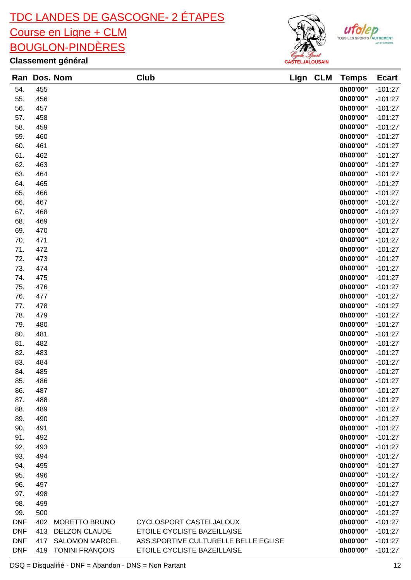



|            |            | Ran Dos. Nom           | Club                                 | Llgn | <b>CLM</b> | <b>Temps</b>         | <b>Ecart</b>           |
|------------|------------|------------------------|--------------------------------------|------|------------|----------------------|------------------------|
| 54.        | 455        |                        |                                      |      |            | 0h00'00"             | $-101:27$              |
| 55.        | 456        |                        |                                      |      |            | 0h00'00"             | $-101:27$              |
| 56.        | 457        |                        |                                      |      |            | 0h00'00"             | $-101:27$              |
| 57.        | 458        |                        |                                      |      |            | 0h00'00"             | $-101:27$              |
| 58.        | 459        |                        |                                      |      |            | 0h00'00"             | $-101:27$              |
| 59.        | 460        |                        |                                      |      |            | 0h00'00"             | $-101:27$              |
| 60.        | 461        |                        |                                      |      |            | 0h00'00"             | $-101:27$              |
| 61.        | 462        |                        |                                      |      |            | 0h00'00"             | $-101:27$              |
| 62.        | 463        |                        |                                      |      |            | 0h00'00"             | $-101:27$              |
| 63.        | 464        |                        |                                      |      |            | 0h00'00"             | $-101:27$              |
| 64.        | 465        |                        |                                      |      |            | 0h00'00"             | $-101:27$              |
| 65.        | 466        |                        |                                      |      |            | 0h00'00"             | $-101:27$              |
| 66.        | 467        |                        |                                      |      |            | 0h00'00"             | $-101:27$              |
| 67.        | 468        |                        |                                      |      |            | 0h00'00"             | $-101:27$              |
| 68.        | 469        |                        |                                      |      |            | 0h00'00"             | $-101:27$              |
| 69.        | 470        |                        |                                      |      |            | 0h00'00"             | $-101:27$              |
| 70.        | 471        |                        |                                      |      |            | 0h00'00"             | $-101:27$              |
| 71.        | 472        |                        |                                      |      |            | 0h00'00"             | $-101:27$              |
| 72.        | 473        |                        |                                      |      |            | 0h00'00"             | $-101:27$              |
| 73.        | 474        |                        |                                      |      |            | 0h00'00"             | $-101:27$              |
| 74.        | 475        |                        |                                      |      |            | 0h00'00"             | $-101:27$              |
| 75.        | 476        |                        |                                      |      |            | 0h00'00"             | $-101:27$              |
| 76.        | 477        |                        |                                      |      |            | 0h00'00"             | $-101:27$              |
| 77.        | 478        |                        |                                      |      |            | 0h00'00"             | $-101:27$              |
| 78.        | 479        |                        |                                      |      |            | 0h00'00"             | $-101:27$              |
| 79.        | 480        |                        |                                      |      |            | 0h00'00"             | $-101:27$              |
| 80.        | 481        |                        |                                      |      |            | 0h00'00"             | $-101:27$              |
| 81.        | 482        |                        |                                      |      |            | 0h00'00"             | $-101:27$              |
| 82.        | 483        |                        |                                      |      |            | 0h00'00"             | $-101:27$              |
| 83.        | 484        |                        |                                      |      |            | 0h00'00"             | $-101:27$              |
| 84.        | 485        |                        |                                      |      |            | 0h00'00"             | $-101:27$              |
| 85.        | 486        |                        |                                      |      |            | 0h00'00"             | $-101:27$              |
| 86.        | 487        |                        |                                      |      |            | 0h00'00"             | $-101:27$              |
| 87.        | 488        |                        |                                      |      |            | 0h00'00"             | $-101:27$              |
| 88.        | 489        |                        |                                      |      |            | 0h00'00"<br>0h00'00" | $-101:27$              |
| 89.<br>90. | 490<br>491 |                        |                                      |      |            | 0h00'00"             | $-101:27$<br>$-101:27$ |
| 91.        | 492        |                        |                                      |      |            | 0h00'00"             | $-101:27$              |
| 92.        | 493        |                        |                                      |      |            | 0h00'00"             | $-101:27$              |
| 93.        | 494        |                        |                                      |      |            | 0h00'00"             | $-101:27$              |
| 94.        | 495        |                        |                                      |      |            | 0h00'00"             | $-101:27$              |
| 95.        | 496        |                        |                                      |      |            | 0h00'00"             | $-101:27$              |
| 96.        | 497        |                        |                                      |      |            | 0h00'00"             | $-101:27$              |
| 97.        | 498        |                        |                                      |      |            | 0h00'00"             | $-101:27$              |
| 98.        | 499        |                        |                                      |      |            | 0h00'00"             | $-101:27$              |
| 99.        | 500        |                        |                                      |      |            | 0h00'00"             | $-101:27$              |
| <b>DNF</b> | 402        | <b>MORETTO BRUNO</b>   | CYCLOSPORT CASTELJALOUX              |      |            | 0h00'00"             | $-101:27$              |
| <b>DNF</b> | 413        | <b>DELZON CLAUDE</b>   | ETOILE CYCLISTE BAZEILLAISE          |      |            | 0h00'00"             | $-101:27$              |
| <b>DNF</b> | 417        | <b>SALOMON MARCEL</b>  | ASS.SPORTIVE CULTURELLE BELLE EGLISE |      |            | 0h00'00"             | $-101:27$              |
| <b>DNF</b> | 419        | <b>TONINI FRANÇOIS</b> | ETOILE CYCLISTE BAZEILLAISE          |      |            | 0h00'00"             | $-101:27$              |
|            |            |                        |                                      |      |            |                      |                        |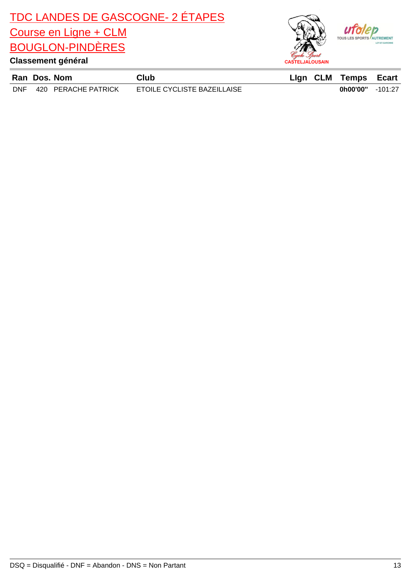

|            | Ran Dos. Nom        | Club                        |  | Lign CLM Temps Ecart |  |
|------------|---------------------|-----------------------------|--|----------------------|--|
| <b>DNF</b> | 420 PERACHE PATRICK | ETOILE CYCLISTE BAZEILLAISE |  | $0h00'00"$ -101:27   |  |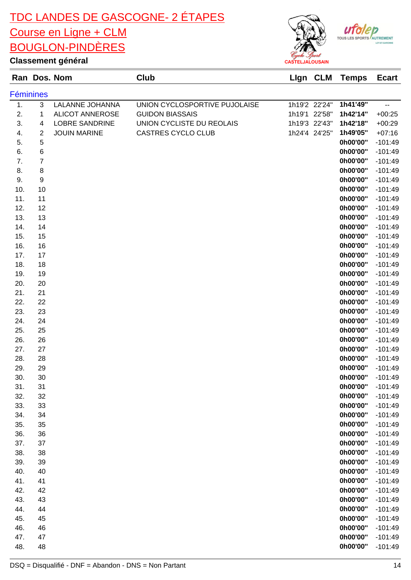

AUTREMENT

### **Classement général**

| <b>Féminines</b> |                |                        |                               |               |                      |                        |
|------------------|----------------|------------------------|-------------------------------|---------------|----------------------|------------------------|
| 1.               | $\mathbf{3}$   | LALANNE JOHANNA        | UNION CYCLOSPORTIVE PUJOLAISE | 1h19'2 22'24" | 1h41'49"             | --                     |
| 2.               | 1              | <b>ALICOT ANNEROSE</b> | <b>GUIDON BIASSAIS</b>        | 1h19'1 22'58" | 1h42'14"             | $+00:25$               |
| 3.               | 4              | <b>LOBRE SANDRINE</b>  | UNION CYCLISTE DU REOLAIS     | 1h19'3 22'43" | 1h42'18"             | $+00:29$               |
| 4.               | 2              | <b>JOUIN MARINE</b>    | <b>CASTRES CYCLO CLUB</b>     | 1h24'4 24'25" | 1h49'05"             | $+07:16$               |
| 5.               | $\,$ 5 $\,$    |                        |                               |               | 0h00'00"             | $-101:49$              |
| 6.               | 6              |                        |                               |               | 0h00'00"             | $-101:49$              |
| 7.               | $\overline{7}$ |                        |                               |               | 0h00'00"             | $-101:49$              |
| 8.               | 8              |                        |                               |               | 0h00'00"             | $-101:49$              |
| 9.               | 9              |                        |                               |               | 0h00'00"             | $-101:49$              |
| 10.              | 10             |                        |                               |               | 0h00'00"             | $-101:49$              |
| 11.              | 11             |                        |                               |               | 0h00'00"             | $-101:49$              |
| 12.              | 12             |                        |                               |               | 0h00'00"             | $-101:49$              |
| 13.              | 13             |                        |                               |               | 0h00'00"             | $-101:49$              |
| 14.              | 14             |                        |                               |               | 0h00'00"             | $-101:49$              |
| 15.              | 15             |                        |                               |               | 0h00'00"             | $-101:49$              |
| 16.              | 16             |                        |                               |               | 0h00'00"             | $-101:49$              |
| 17.              | 17             |                        |                               |               | 0h00'00"             | $-101:49$              |
| 18.              | 18             |                        |                               |               | 0h00'00"             | $-101:49$              |
| 19.              | 19             |                        |                               |               | 0h00'00"             | $-101:49$              |
| 20.              | 20             |                        |                               |               | 0h00'00"             | $-101:49$              |
| 21.              | 21             |                        |                               |               | 0h00'00"             | $-101:49$              |
| 22.              | 22             |                        |                               |               | 0h00'00"             | $-101:49$              |
| 23.              | 23             |                        |                               |               | 0h00'00"             | $-101:49$              |
| 24.              | 24             |                        |                               |               | 0h00'00"             | $-101:49$              |
| 25.              | 25             |                        |                               |               | 0h00'00"             | $-101:49$              |
| 26.              | 26<br>27       |                        |                               |               | 0h00'00"<br>0h00'00" | $-101:49$              |
| 27.<br>28.       | 28             |                        |                               |               | 0h00'00"             | $-101:49$<br>$-101:49$ |
| 29.              | 29             |                        |                               |               | 0h00'00"             | $-101:49$              |
| 30.              | 30             |                        |                               |               | 0h00'00"             | $-101:49$              |
| 31.              | 31             |                        |                               |               | 0h00'00"             | $-101:49$              |
| 32.              | 32             |                        |                               |               | 0h00'00"             | $-101:49$              |
| 33.              | 33             |                        |                               |               | 0h00'00"             | $-101:49$              |
| 34.              | 34             |                        |                               |               | 0h00'00"             | $-101:49$              |
| 35.              | 35             |                        |                               |               | 0h00'00"             | $-101:49$              |
| 36.              | 36             |                        |                               |               | 0h00'00"             | $-101:49$              |
| 37.              | 37             |                        |                               |               | 0h00'00"             | $-101:49$              |
| 38.              | 38             |                        |                               |               | 0h00'00"             | $-101:49$              |
| 39.              | 39             |                        |                               |               | 0h00'00"             | $-101:49$              |
| 40.              | 40             |                        |                               |               | 0h00'00"             | $-101:49$              |
| 41.              | 41             |                        |                               |               | 0h00'00"             | $-101:49$              |
| 42.              | 42             |                        |                               |               | 0h00'00"             | $-101:49$              |
| 43.              | 43             |                        |                               |               | 0h00'00"             | $-101:49$              |
| 44.              | 44             |                        |                               |               | 0h00'00"             | $-101:49$              |
| 45.              | 45             |                        |                               |               | 0h00'00"             | $-101:49$              |
| 46.              | 46             |                        |                               |               | 0h00'00"             | $-101:49$              |
| 47.              | 47             |                        |                               |               | 0h00'00"             | $-101:49$              |
| 48.              | 48             |                        |                               |               | 0h00'00"             | $-101:49$              |
|                  |                |                        |                               |               |                      |                        |

**Ran Dos. Nom Club LIgn CLM Temps Ecart**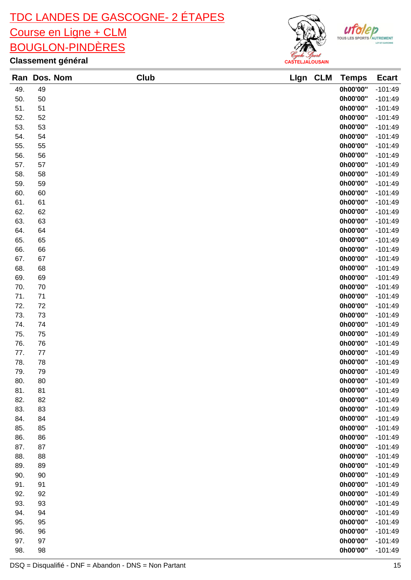



|            |          | Club<br>Ran Dos. Nom | Llgn | <b>CLM</b> | <b>Temps</b>         | <b>Ecart</b>           |
|------------|----------|----------------------|------|------------|----------------------|------------------------|
| 49.        | 49       |                      |      |            | 0h00'00"             | $-101:49$              |
| 50.        | 50       |                      |      |            | 0h00'00"             | $-101:49$              |
| 51.        | 51       |                      |      |            | 0h00'00"             | $-101:49$              |
| 52.        | 52       |                      |      |            | 0h00'00"             | $-101:49$              |
| 53.        | 53       |                      |      |            | 0h00'00"             | $-101:49$              |
| 54.        | 54       |                      |      |            | 0h00'00"             | $-101:49$              |
| 55.        | 55       |                      |      |            | 0h00'00"             | $-101:49$              |
| 56.        | 56       |                      |      |            | 0h00'00"             | $-101:49$              |
| 57.        | 57       |                      |      |            | 0h00'00"             | $-101:49$              |
| 58.        | 58       |                      |      |            | 0h00'00"             | $-101:49$              |
| 59.        | 59       |                      |      |            | 0h00'00"             | $-101:49$              |
| 60.        | 60       |                      |      |            | 0h00'00"             | $-101:49$              |
| 61.        | 61       |                      |      |            | 0h00'00"             | $-101:49$              |
| 62.        | 62       |                      |      |            | 0h00'00"             | $-101:49$              |
| 63.        | 63       |                      |      |            | 0h00'00"             | $-101:49$              |
| 64.        | 64       |                      |      |            | 0h00'00"             | $-101:49$              |
| 65.        | 65       |                      |      |            | 0h00'00"             | $-101:49$              |
| 66.        | 66       |                      |      |            | 0h00'00"             | $-101:49$              |
| 67.        | 67       |                      |      |            | 0h00'00"             | $-101:49$              |
| 68.        | 68       |                      |      |            | 0h00'00"             | $-101:49$              |
| 69.        | 69       |                      |      |            | 0h00'00"             | $-101:49$              |
| 70.        | 70       |                      |      |            | 0h00'00"             | $-101:49$              |
| 71.        | 71       |                      |      |            | 0h00'00"             | $-101:49$              |
| 72.        | 72       |                      |      |            | 0h00'00"             | $-101:49$              |
| 73.        | 73       |                      |      |            | 0h00'00"             | $-101:49$              |
| 74.        | 74       |                      |      |            | 0h00'00"             | $-101:49$              |
| 75.        | 75       |                      |      |            | 0h00'00"             | $-101:49$              |
| 76.        | 76       |                      |      |            | 0h00'00"             | $-101:49$              |
| 77.        | 77       |                      |      |            | 0h00'00"             | $-101:49$              |
| 78.        | 78       |                      |      |            | 0h00'00"             | $-101:49$              |
| 79.        | 79       |                      |      |            | 0h00'00"             | $-101:49$              |
| 80.        | 80       |                      |      |            | 0h00'00"             | $-101:49$              |
| 81.        | 81       |                      |      |            | 0h00'00"             | $-101:49$              |
| 82.        | 82       |                      |      |            | 0h00'00"             | $-101:49$              |
| 83.        | 83       |                      |      |            | 0h00'00"             | $-101:49$              |
| 84.        | 84       |                      |      |            | 0h00'00"             | $-101:49$              |
| 85.        | 85       |                      |      |            | 0h00'00"             | $-101:49$              |
| 86.        | 86       |                      |      |            | 0h00'00"             | $-101:49$              |
| 87.        | 87       |                      |      |            | 0h00'00"             | $-101:49$              |
| 88.        | 88       |                      |      |            | 0h00'00"<br>0h00'00" | $-101:49$<br>$-101:49$ |
| 89.        | 89       |                      |      |            |                      |                        |
| 90.        | 90       |                      |      |            | 0h00'00"             | $-101:49$              |
| 91.<br>92. | 91<br>92 |                      |      |            | 0h00'00"<br>0h00'00" | $-101:49$<br>$-101:49$ |
|            |          |                      |      |            | 0h00'00"             |                        |
| 93.<br>94. | 93<br>94 |                      |      |            | 0h00'00"             | $-101:49$<br>$-101:49$ |
| 95.        | 95       |                      |      |            | 0h00'00"             | $-101:49$              |
| 96.        | 96       |                      |      |            | 0h00'00"             | $-101:49$              |
| 97.        | 97       |                      |      |            | 0h00'00"             | $-101:49$              |
| 98.        | 98       |                      |      |            | 0h00'00"             | $-101:49$              |
|            |          |                      |      |            |                      |                        |